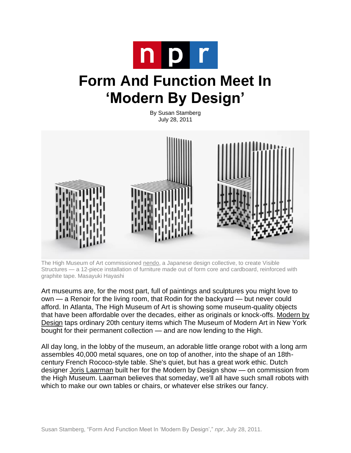

## **Form And Function Meet In 'Modern By Design'**

By Susan Stamberg July 28, 2011



The High Museum of Art commissioned [nendo,](http://www.nendo.jp/en/) a Japanese design collective, to create Visible Structures — a 12-piece installation of furniture made out of form core and cardboard, reinforced with graphite tape. Masayuki Hayashi

Art museums are, for the most part, full of paintings and sculptures you might love to own — a Renoir for the living room, that Rodin for the backyard — but never could afford. In Atlanta, The High Museum of Art is showing some museum-quality objects that have been affordable over the decades, either as originals or knock-offs. [Modern by](http://www.high.org/Art/Exhibitions/Modern-By-Design.aspx)  [Design](http://www.high.org/Art/Exhibitions/Modern-By-Design.aspx) taps ordinary 20th century items which The Museum of Modern Art in New York bought for their permanent collection — and are now lending to the High.

All day long, in the lobby of the museum, an adorable little orange robot with a long arm assembles 40,000 metal squares, one on top of another, into the shape of an 18thcentury French Rococo-style table. She's quiet, but has a great work ethic. Dutch designer [Joris Laarman](http://www.jorislaarman.com/) built her for the Modern by Design show — on commission from the High Museum. Laarman believes that someday, we'll all have such small robots with which to make our own tables or chairs, or whatever else strikes our fancy.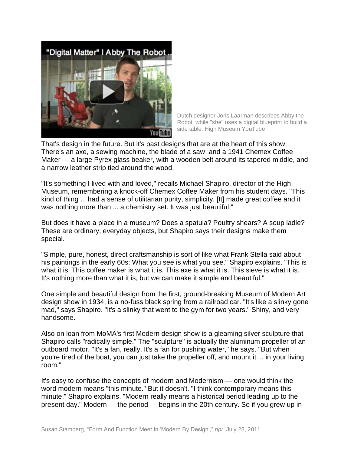"Digital Matter" | Abby The Robot



Dutch designer Joris Laarman describes Abby the Robot, while "she" uses a digital blueprint to build a side table. High Museum YouTube

That's design in the future. But it's past designs that are at the heart of this show. There's an axe, a sewing machine, the blade of a saw, and a 1941 Chemex Coffee Maker — a large Pyrex glass beaker, with a wooden belt around its tapered middle, and a narrow leather strip tied around the wood.

"It's something I lived with and loved," recalls Michael Shapiro, director of the High Museum, remembering a knock-off Chemex Coffee Maker from his student days. "This kind of thing ... had a sense of utilitarian purity, simplicity. [It] made great coffee and it was nothing more than ... a chemistry set. It was just beautiful."

But does it have a place in a museum? Does a spatula? Poultry shears? A soup ladle? These are [ordinary, everyday objects,](http://media.npr.org/assets/img/2011/07/20/img_2811_custom.jpg) but Shapiro says their designs make them special.

"Simple, pure, honest, direct craftsmanship is sort of like what Frank Stella said about his paintings in the early 60s: What you see is what you see." Shapiro explains. "This is what it is. This coffee maker is what it is. This axe is what it is. This sieve is what it is. It's nothing more than what it is, but we can make it simple and beautiful."

One simple and beautiful design from the first, ground-breaking Museum of Modern Art design show in 1934, is a no-fuss black spring from a railroad car. "It's like a slinky gone mad," says Shapiro. "It's a slinky that went to the gym for two years." Shiny, and very handsome.

Also on loan from MoMA's first Modern design show is a gleaming silver sculpture that Shapiro calls "radically simple." The "sculpture" is actually the aluminum propeller of an outboard motor. "It's a fan, really. It's a fan for pushing water," he says. "But when you're tired of the boat, you can just take the propeller off, and mount it ... in your living room."

It's easy to confuse the concepts of modern and Modernism — one would think the word modern means "this minute." But it doesn't. "I think contemporary means this minute," Shapiro explains. "Modern really means a historical period leading up to the present day." Modern — the period — begins in the 20th century. So if you grew up in